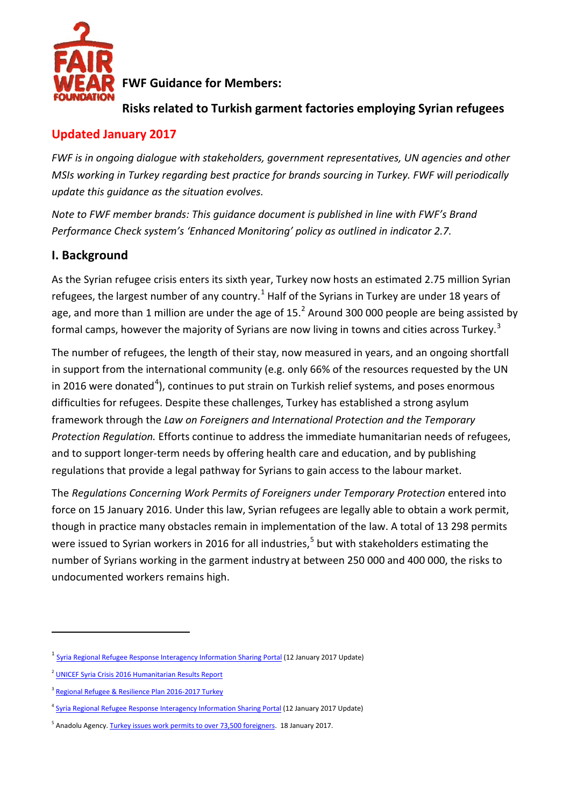

**FWF Guidance for Members:**

## **Risks related to Turkish garment factories employing Syrian refugees**

## **Updated January 2017**

*FWF is in ongoing dialogue with stakeholders, government representatives, UN agencies and other MSIs working in Turkey regarding best practice for brands sourcing in Turkey. FWF will periodically update this guidance as the situation evolves.*

*Note to FWF member brands: This guidance document is published in line with FWF's Brand Performance Check system's 'Enhanced Monitoring' policy as outlined in indicator 2.7.*

## **I. Background**

As the Syrian refugee crisis enters its sixth year, Turkey now hosts an estimated 2.75 million Syrian refugees, the largest number of any country.<sup>[1](#page-0-0)</sup> Half of the Syrians in Turkey are under 18 years of age, and more than 1 million are under the age of 15.<sup>[2](#page-0-1)</sup> Around 300 000 people are being assisted by formal camps, however the majority of Syrians are now living in towns and cities across Turkey.<sup>[3](#page-0-2)</sup>

The number of refugees, the length of their stay, now measured in years, and an ongoing shortfall in support from the international community (e.g. only 66% of the resources requested by the UN in 2016 were donated<sup>[4](#page-0-3)</sup>), continues to put strain on Turkish relief systems, and poses enormous difficulties for refugees. Despite these challenges, Turkey has established a strong asylum framework through the *Law on Foreigners and International Protection and the Temporary Protection Regulation.* Efforts continue to address the immediate humanitarian needs of refugees, and to support longer-term needs by offering health care and education, and by publishing regulations that provide a legal pathway for Syrians to gain access to the labour market.

The *Regulations Concerning Work Permits of Foreigners under Temporary Protection* entered into force on 15 January 2016. Under this law, Syrian refugees are legally able to obtain a work permit, though in practice many obstacles remain in implementation of the law. A total of 13 298 permits were issued to Syrian workers in 2016 for all industries, [5](#page-0-4) but with stakeholders estimating the number of Syrians working in the garment industry at between 250 000 and 400 000, the risks to undocumented workers remains high.

 $\overline{a}$ 

<span id="page-0-0"></span><sup>&</sup>lt;sup>1</sup> [Syria Regional Refugee Response Interagency Information Sharing Portal](http://data.unhcr.org/syrianrefugees/country.php?id=224) (12 January 2017 Update)

<span id="page-0-1"></span><sup>&</sup>lt;sup>2</sup> [UNICEF Syria Crisis 2016 Humanitarian Results Report](http://data.unhcr.org/syrianrefugees/download.php?id=12759)

<span id="page-0-2"></span><sup>&</sup>lt;sup>3</sup> [Regional Refugee & Resilience Plan 2016-2017 Turkey](http://www.3rpsyriacrisis.org/wp-content/uploads/2016/02/Turkey-2016-Regional-Refugee-Resilience-Plan.pdf)

<span id="page-0-3"></span><sup>&</sup>lt;sup>4</sup> [Syria Regional Refugee Response Interagency Information Sharing Portal](http://data.unhcr.org/syrianrefugees/country.php?id=224) (12 January 2017 Update)

<span id="page-0-4"></span><sup>&</sup>lt;sup>5</sup> Anadolu Agency[. Turkey issues work permits to over 73,500 foreigners.](http://aa.com.tr/en/economy/turkey-issues-work-permits-to-over-73-500-foreigners/729836) 18 January 2017.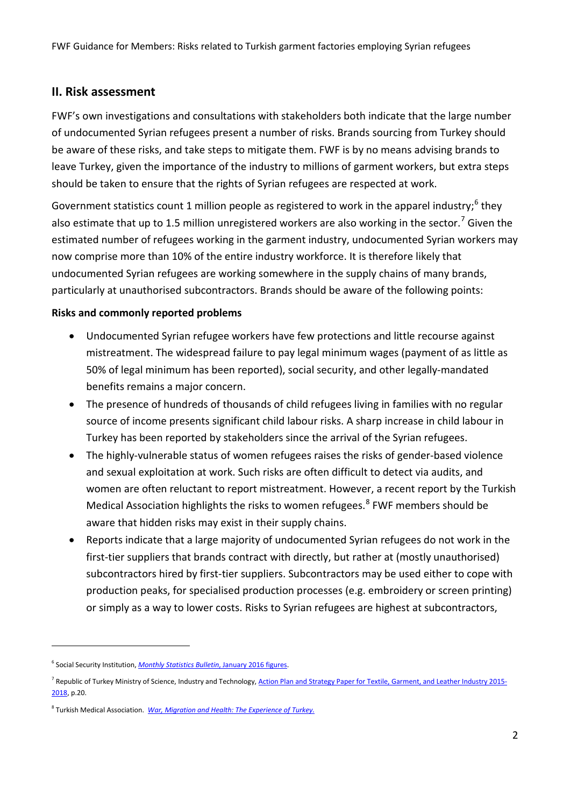### **II. Risk assessment**

FWF's own investigations and consultations with stakeholders both indicate that the large number of undocumented Syrian refugees present a number of risks. Brands sourcing from Turkey should be aware of these risks, and take steps to mitigate them. FWF is by no means advising brands to leave Turkey, given the importance of the industry to millions of garment workers, but extra steps should be taken to ensure that the rights of Syrian refugees are respected at work.

Government statistics count 1 million people as registered to work in the apparel industry;<sup>[6](#page-1-0)</sup> they also estimate that up to 1.5 million unregistered workers are also working in the sector.<sup>[7](#page-1-1)</sup> Given the estimated number of refugees working in the garment industry, undocumented Syrian workers may now comprise more than 10% of the entire industry workforce. It is therefore likely that undocumented Syrian refugees are working somewhere in the supply chains of many brands, particularly at unauthorised subcontractors. Brands should be aware of the following points:

#### **Risks and commonly reported problems**

- Undocumented Syrian refugee workers have few protections and little recourse against mistreatment. The widespread failure to pay legal minimum wages (payment of as little as 50% of legal minimum has been reported), social security, and other legally-mandated benefits remains a major concern.
- The presence of hundreds of thousands of child refugees living in families with no regular source of income presents significant child labour risks. A sharp increase in child labour in Turkey has been reported by stakeholders since the arrival of the Syrian refugees.
- The highly-vulnerable status of women refugees raises the risks of gender-based violence and sexual exploitation at work. Such risks are often difficult to detect via audits, and women are often reluctant to report mistreatment. However, a recent report by the Turkish Medical Association highlights the risks to women refugees.<sup>[8](#page-1-2)</sup> FWF members should be aware that hidden risks may exist in their supply chains.
- Reports indicate that a large majority of undocumented Syrian refugees do not work in the first-tier suppliers that brands contract with directly, but rather at (mostly unauthorised) subcontractors hired by first-tier suppliers. Subcontractors may be used either to cope with production peaks, for specialised production processes (e.g. embroidery or screen printing) or simply as a way to lower costs. Risks to Syrian refugees are highest at subcontractors,

 $\overline{a}$ 

<span id="page-1-0"></span><sup>6</sup> Social Security Institution, *[Monthly Statistics Bulletin](http://www.sgk.gov.tr/wps/portal/sgk/tr/kurumsal/istatistik/aylik_istatistik_bilgileri)*, January 2016 figures.

<span id="page-1-1"></span><sup>&</sup>lt;sup>7</sup> Republic of Turkey Ministry of Science, Industry and Technology, <u>Action Plan and Strategy Paper for Textile, Garment, and Leather Industry 2015-</u> [2018,](http://www.tgsd.org.tr/assets/Uploads/Strateji-Belgesi-ve-Eylem-Plani-2015-2018.pdf) p.20.

<span id="page-1-2"></span><sup>8</sup> Turkish Medical Association. *[War, Migration and Health: The Experience of](http://www.ttb.org.tr/kutuphane/siginmacilar_rpr_en.pdf) Turkey.*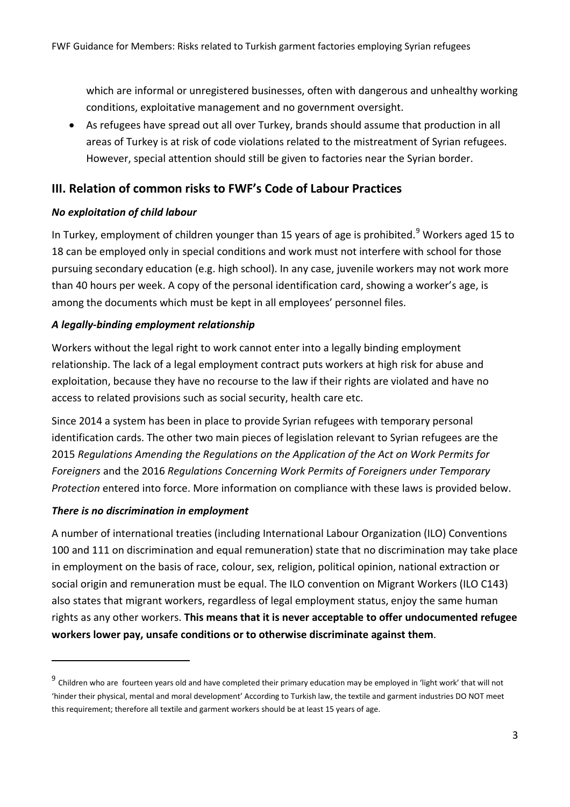which are informal or unregistered businesses, often with dangerous and unhealthy working conditions, exploitative management and no government oversight.

• As refugees have spread out all over Turkey, brands should assume that production in all areas of Turkey is at risk of code violations related to the mistreatment of Syrian refugees. However, special attention should still be given to factories near the Syrian border.

## **III. Relation of common risks to FWF's Code of Labour Practices**

### *No exploitation of child labour*

In Turkey, employment of children younger than 15 years of age is prohibited.<sup>[9](#page-2-0)</sup> Workers aged 15 to 18 can be employed only in special conditions and work must not interfere with school for those pursuing secondary education (e.g. high school). In any case, juvenile workers may not work more than 40 hours per week. A copy of the personal identification card, showing a worker's age, is among the documents which must be kept in all employees' personnel files.

### *A legally-binding employment relationship*

Workers without the legal right to work cannot enter into a legally binding employment relationship. The lack of a legal employment contract puts workers at high risk for abuse and exploitation, because they have no recourse to the law if their rights are violated and have no access to related provisions such as social security, health care etc.

Since 2014 a system has been in place to provide Syrian refugees with temporary personal identification cards. The other two main pieces of legislation relevant to Syrian refugees are the 2015 *Regulations Amending the Regulations on the Application of the Act on Work Permits for Foreigners* and the 2016 *Regulations Concerning Work Permits of Foreigners under Temporary Protection* entered into force. More information on compliance with these laws is provided below.

### *There is no discrimination in employment*

 $\overline{a}$ 

A number of international treaties (including International Labour Organization (ILO) Conventions 100 and 111 on discrimination and equal remuneration) state that no discrimination may take place in employment on the basis of race, colour, sex, religion, political opinion, national extraction or social origin and remuneration must be equal. The ILO convention on Migrant Workers (ILO C143) also states that migrant workers, regardless of legal employment status, enjoy the same human rights as any other workers. **This means that it is never acceptable to offer undocumented refugee workers lower pay, unsafe conditions or to otherwise discriminate against them**.

<span id="page-2-0"></span><sup>9</sup> Children who are fourteen years old and have completed their primary education may be employed in 'light work' that will not 'hinder their physical, mental and moral development' According to Turkish law, the textile and garment industries DO NOT meet this requirement; therefore all textile and garment workers should be at least 15 years of age.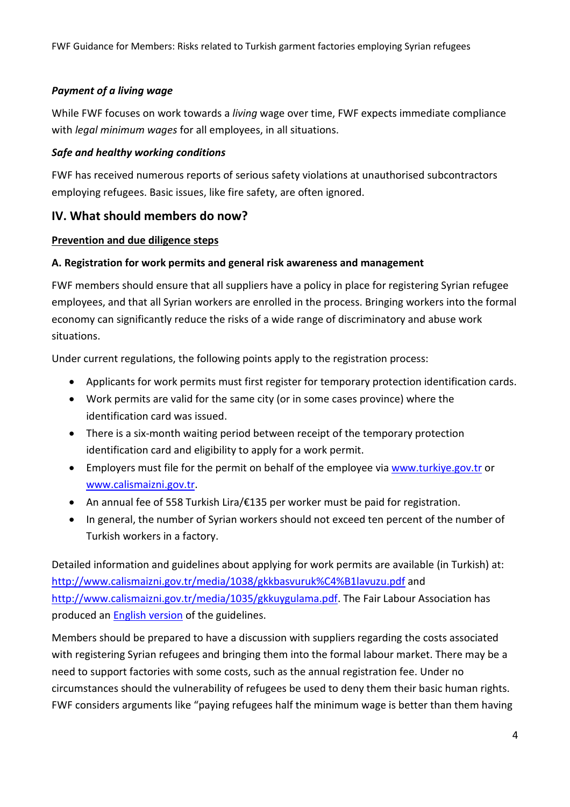### *Payment of a living wage*

While FWF focuses on work towards a *living* wage over time, FWF expects immediate compliance with *legal minimum wages* for all employees, in all situations.

### *Safe and healthy working conditions*

FWF has received numerous reports of serious safety violations at unauthorised subcontractors employing refugees. Basic issues, like fire safety, are often ignored.

## **IV. What should members do now?**

#### **Prevention and due diligence steps**

### **A. Registration for work permits and general risk awareness and management**

FWF members should ensure that all suppliers have a policy in place for registering Syrian refugee employees, and that all Syrian workers are enrolled in the process. Bringing workers into the formal economy can significantly reduce the risks of a wide range of discriminatory and abuse work situations.

Under current regulations, the following points apply to the registration process:

- Applicants for work permits must first register for temporary protection identification cards.
- Work permits are valid for the same city (or in some cases province) where the identification card was issued.
- There is a six-month waiting period between receipt of the temporary protection identification card and eligibility to apply for a work permit.
- Employers must file for the permit on behalf of the employee vi[a www.turkiye.gov.tr](http://www.turkiye.gov.tr/) or [www.calismaizni.gov.tr.](http://www.calismaizni.gov.tr/)
- An annual fee of 558 Turkish Lira/€135 per worker must be paid for registration.
- In general, the number of Syrian workers should not exceed ten percent of the number of Turkish workers in a factory.

Detailed information and guidelines about applying for work permits are available (in Turkish) at: <http://www.calismaizni.gov.tr/media/1038/gkkbasvuruk%C4%B1lavuzu.pdf> and [http://www.calismaizni.gov.tr/media/1035/gkkuygulama.pdf.](http://www.calismaizni.gov.tr/media/1035/gkkuygulama.pdf) The Fair Labour Association has produced an [English version](http://www.fairlabor.org/sites/default/files/documents/reports/july-2016-work-permit-guideliens-english.pdf) of the guidelines.

Members should be prepared to have a discussion with suppliers regarding the costs associated with registering Syrian refugees and bringing them into the formal labour market. There may be a need to support factories with some costs, such as the annual registration fee. Under no circumstances should the vulnerability of refugees be used to deny them their basic human rights. FWF considers arguments like "paying refugees half the minimum wage is better than them having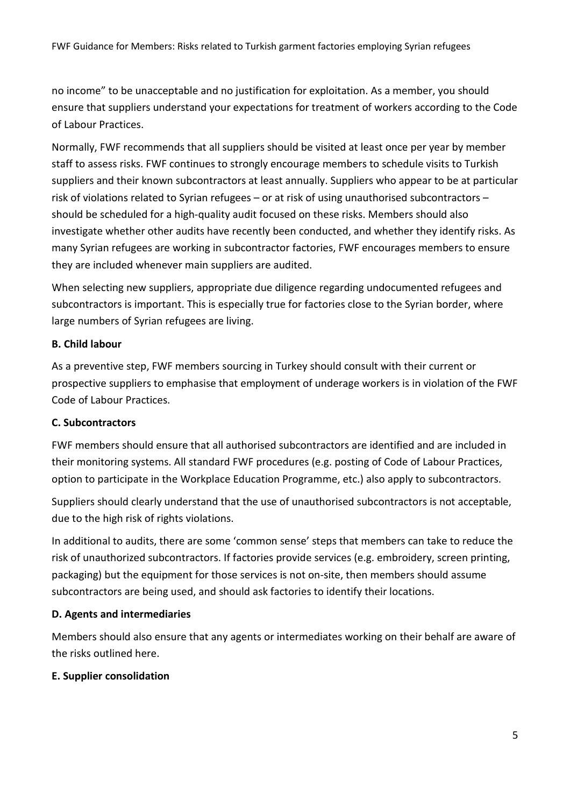no income" to be unacceptable and no justification for exploitation. As a member, you should ensure that suppliers understand your expectations for treatment of workers according to the Code of Labour Practices.

Normally, FWF recommends that all suppliers should be visited at least once per year by member staff to assess risks. FWF continues to strongly encourage members to schedule visits to Turkish suppliers and their known subcontractors at least annually. Suppliers who appear to be at particular risk of violations related to Syrian refugees – or at risk of using unauthorised subcontractors – should be scheduled for a high-quality audit focused on these risks. Members should also investigate whether other audits have recently been conducted, and whether they identify risks. As many Syrian refugees are working in subcontractor factories, FWF encourages members to ensure they are included whenever main suppliers are audited.

When selecting new suppliers, appropriate due diligence regarding undocumented refugees and subcontractors is important. This is especially true for factories close to the Syrian border, where large numbers of Syrian refugees are living.

### **B. Child labour**

As a preventive step, FWF members sourcing in Turkey should consult with their current or prospective suppliers to emphasise that employment of underage workers is in violation of the FWF Code of Labour Practices.

#### **C. Subcontractors**

FWF members should ensure that all authorised subcontractors are identified and are included in their monitoring systems. All standard FWF procedures (e.g. posting of Code of Labour Practices, option to participate in the Workplace Education Programme, etc.) also apply to subcontractors.

Suppliers should clearly understand that the use of unauthorised subcontractors is not acceptable, due to the high risk of rights violations.

In additional to audits, there are some 'common sense' steps that members can take to reduce the risk of unauthorized subcontractors. If factories provide services (e.g. embroidery, screen printing, packaging) but the equipment for those services is not on-site, then members should assume subcontractors are being used, and should ask factories to identify their locations.

#### **D. Agents and intermediaries**

Members should also ensure that any agents or intermediates working on their behalf are aware of the risks outlined here.

### **E. Supplier consolidation**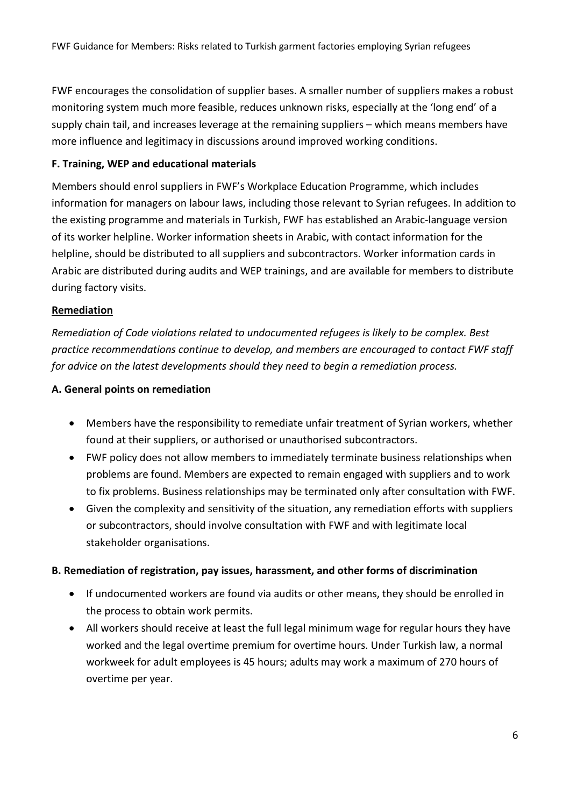FWF encourages the consolidation of supplier bases. A smaller number of suppliers makes a robust monitoring system much more feasible, reduces unknown risks, especially at the 'long end' of a supply chain tail, and increases leverage at the remaining suppliers – which means members have more influence and legitimacy in discussions around improved working conditions.

#### **F. Training, WEP and educational materials**

Members should enrol suppliers in FWF's Workplace Education Programme, which includes information for managers on labour laws, including those relevant to Syrian refugees. In addition to the existing programme and materials in Turkish, FWF has established an Arabic-language version of its worker helpline. Worker information sheets in Arabic, with contact information for the helpline, should be distributed to all suppliers and subcontractors. Worker information cards in Arabic are distributed during audits and WEP trainings, and are available for members to distribute during factory visits.

### **Remediation**

*Remediation of Code violations related to undocumented refugees is likely to be complex. Best practice recommendations continue to develop, and members are encouraged to contact FWF staff for advice on the latest developments should they need to begin a remediation process.*

#### **A. General points on remediation**

- Members have the responsibility to remediate unfair treatment of Syrian workers, whether found at their suppliers, or authorised or unauthorised subcontractors.
- FWF policy does not allow members to immediately terminate business relationships when problems are found. Members are expected to remain engaged with suppliers and to work to fix problems. Business relationships may be terminated only after consultation with FWF.
- Given the complexity and sensitivity of the situation, any remediation efforts with suppliers or subcontractors, should involve consultation with FWF and with legitimate local stakeholder organisations.

#### **B. Remediation of registration, pay issues, harassment, and other forms of discrimination**

- If undocumented workers are found via audits or other means, they should be enrolled in the process to obtain work permits.
- All workers should receive at least the full legal minimum wage for regular hours they have worked and the legal overtime premium for overtime hours. Under Turkish law, a normal workweek for adult employees is 45 hours; adults may work a maximum of 270 hours of overtime per year.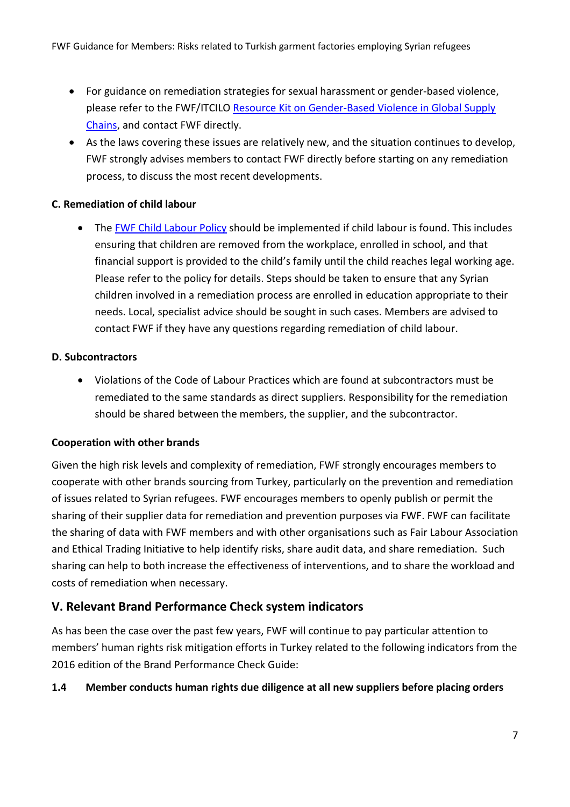- For guidance on remediation strategies for sexual harassment or gender-based violence, please refer to the FWF/ITCILO [Resource Kit on Gender-Based Violence in Global Supply](https://gbv.itcilo.org/)  [Chains,](https://gbv.itcilo.org/) and contact FWF directly.
- As the laws covering these issues are relatively new, and the situation continues to develop, FWF strongly advises members to contact FWF directly before starting on any remediation process, to discuss the most recent developments.

### **C. Remediation of child labour**

• The [FWF Child Labour Policy](https://www.fairwear.org/wp-content/uploads/2016/06/ChildLabourPolicyOct2012.pdf) should be implemented if child labour is found. This includes ensuring that children are removed from the workplace, enrolled in school, and that financial support is provided to the child's family until the child reaches legal working age. Please refer to the policy for details. Steps should be taken to ensure that any Syrian children involved in a remediation process are enrolled in education appropriate to their needs. Local, specialist advice should be sought in such cases. Members are advised to contact FWF if they have any questions regarding remediation of child labour.

#### **D. Subcontractors**

• Violations of the Code of Labour Practices which are found at subcontractors must be remediated to the same standards as direct suppliers. Responsibility for the remediation should be shared between the members, the supplier, and the subcontractor.

### **Cooperation with other brands**

Given the high risk levels and complexity of remediation, FWF strongly encourages members to cooperate with other brands sourcing from Turkey, particularly on the prevention and remediation of issues related to Syrian refugees. FWF encourages members to openly publish or permit the sharing of their supplier data for remediation and prevention purposes via FWF. FWF can facilitate the sharing of data with FWF members and with other organisations such as Fair Labour Association and Ethical Trading Initiative to help identify risks, share audit data, and share remediation. Such sharing can help to both increase the effectiveness of interventions, and to share the workload and costs of remediation when necessary.

## **V. Relevant Brand Performance Check system indicators**

As has been the case over the past few years, FWF will continue to pay particular attention to members' human rights risk mitigation efforts in Turkey related to the following indicators from the 2016 edition of the Brand Performance Check Guide:

### **1.4 Member conducts human rights due diligence at all new suppliers before placing orders**